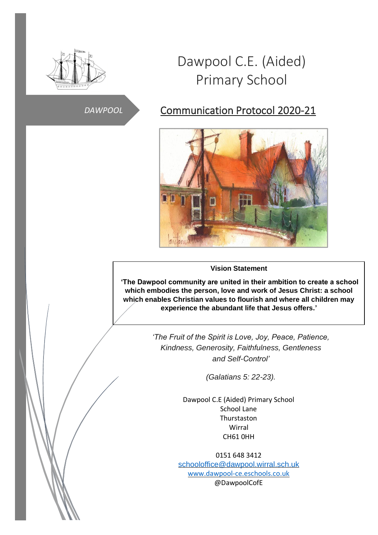

# Dawpool C.E. (Aided) Primary School

# *DAWPOOL*

# Communication Protocol 2020-21



#### **Vision Statement**

**'The Dawpool community are united in their ambition to create a school which embodies the person, love and work of Jesus Christ: a school which enables Christian values to flourish and where all children may experience the abundant life that Jesus offers.'**

> *'The Fruit of the Spirit is Love, Joy, Peace, Patience, Kindness, Generosity, Faithfulness, Gentleness and Self-Control'*

> > *(Galatians 5: 22-23).*

Dawpool C.E (Aided) Primary School School Lane Thurstaston Wirral CH61 0HH

0151 648 3412 [schooloffice@dawpool.wirral.sch.uk](mailto:schooloffice@dawpool.wirral.sch.uk) [www.dawpool-ce.eschools.co.uk](http://www.dawpool-ce.eschools.co.uk/) @DawpoolCofE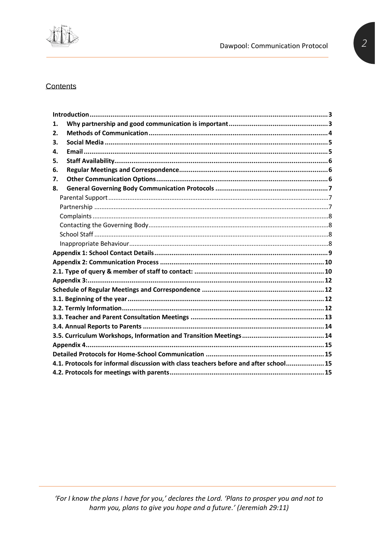

#### Contents

| 1. |                                                                                       |  |
|----|---------------------------------------------------------------------------------------|--|
| 2. |                                                                                       |  |
| 3. |                                                                                       |  |
| 4. |                                                                                       |  |
| 5. |                                                                                       |  |
| 6. |                                                                                       |  |
| 7. |                                                                                       |  |
| 8. |                                                                                       |  |
|    |                                                                                       |  |
|    |                                                                                       |  |
|    |                                                                                       |  |
|    |                                                                                       |  |
|    |                                                                                       |  |
|    |                                                                                       |  |
|    |                                                                                       |  |
|    |                                                                                       |  |
|    |                                                                                       |  |
|    |                                                                                       |  |
|    |                                                                                       |  |
|    |                                                                                       |  |
|    |                                                                                       |  |
|    |                                                                                       |  |
|    |                                                                                       |  |
|    |                                                                                       |  |
|    |                                                                                       |  |
|    |                                                                                       |  |
|    | 4.1. Protocols for informal discussion with class teachers before and after school 15 |  |
|    |                                                                                       |  |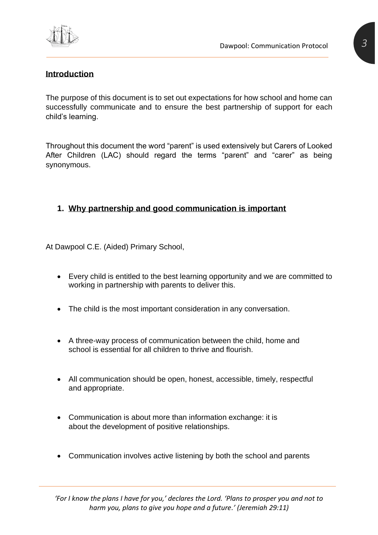

# <span id="page-2-0"></span>**Introduction**

The purpose of this document is to set out expectations for how school and home can successfully communicate and to ensure the best partnership of support for each child's learning.

Throughout this document the word "parent" is used extensively but Carers of Looked After Children (LAC) should regard the terms "parent" and "carer" as being synonymous.

# <span id="page-2-1"></span>**1. Why partnership and good communication is important**

At Dawpool C.E. (Aided) Primary School,

- Every child is entitled to the best learning opportunity and we are committed to working in partnership with parents to deliver this.
- The child is the most important consideration in any conversation.
- A three-way process of communication between the child, home and school is essential for all children to thrive and flourish.
- All communication should be open, honest, accessible, timely, respectful and appropriate.
- Communication is about more than information exchange: it is about the development of positive relationships.
- Communication involves active listening by both the school and parents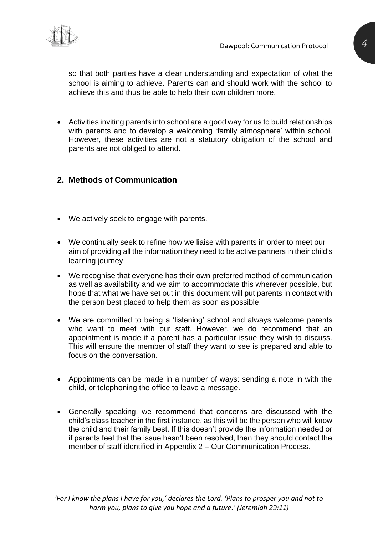

so that both parties have a clear understanding and expectation of what the school is aiming to achieve. Parents can and should work with the school to achieve this and thus be able to help their own children more.

• Activities inviting parents into school are a good way for us to build relationships with parents and to develop a welcoming 'family atmosphere' within school. However, these activities are not a statutory obligation of the school and parents are not obliged to attend.

#### <span id="page-3-0"></span>**2. Methods of Communication**

- We actively seek to engage with parents.
- We continually seek to refine how we liaise with parents in order to meet our aim of providing all the information they need to be active partners in their child's learning journey.
- We recognise that everyone has their own preferred method of communication as well as availability and we aim to accommodate this wherever possible, but hope that what we have set out in this document will put parents in contact with the person best placed to help them as soon as possible.
- We are committed to being a 'listening' school and always welcome parents who want to meet with our staff. However, we do recommend that an appointment is made if a parent has a particular issue they wish to discuss. This will ensure the member of staff they want to see is prepared and able to focus on the conversation.
- Appointments can be made in a number of ways: sending a note in with the child, or telephoning the office to leave a message.
- Generally speaking, we recommend that concerns are discussed with the child's class teacher in the first instance, as this will be the person who will know the child and their family best. If this doesn't provide the information needed or if parents feel that the issue hasn't been resolved, then they should contact the member of staff identified in Appendix 2 – Our Communication Process.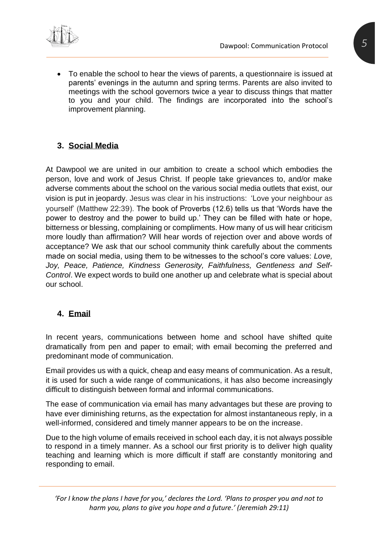

• To enable the school to hear the views of parents, a questionnaire is issued at parents' evenings in the autumn and spring terms. Parents are also invited to meetings with the school governors twice a year to discuss things that matter to you and your child. The findings are incorporated into the school's improvement planning.

# <span id="page-4-0"></span>**3. Social Media**

At Dawpool we are united in our ambition to create a school which embodies the person, love and work of Jesus Christ. If people take grievances to, and/or make adverse comments about the school on the various social media outlets that exist, our vision is put in jeopardy. Jesus was clear in his instructions: 'Love your neighbour as yourself' (Matthew 22:39). The book of Proverbs (12.6) tells us that 'Words have the power to destroy and the power to build up.' They can be filled with hate or hope, bitterness or blessing, complaining or compliments. How many of us will hear criticism more loudly than affirmation? Will hear words of rejection over and above words of acceptance? We ask that our school community think carefully about the comments made on social media, using them to be witnesses to the school's core values: *Love, Joy, Peace, Patience, Kindness Generosity, Faithfulness, Gentleness and Self-Control*. We expect words to build one another up and celebrate what is special about our school.

# <span id="page-4-1"></span>**4. Email**

In recent years, communications between home and school have shifted quite dramatically from pen and paper to email; with email becoming the preferred and predominant mode of communication.

Email provides us with a quick, cheap and easy means of communication. As a result, it is used for such a wide range of communications, it has also become increasingly difficult to distinguish between formal and informal communications.

The ease of communication via email has many advantages but these are proving to have ever diminishing returns, as the expectation for almost instantaneous reply, in a well-informed, considered and timely manner appears to be on the increase.

Due to the high volume of emails received in school each day, it is not always possible to respond in a timely manner. As a school our first priority is to deliver high quality teaching and learning which is more difficult if staff are constantly monitoring and responding to email.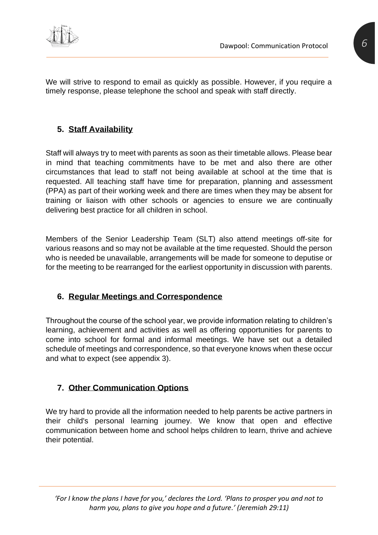

We will strive to respond to email as quickly as possible. However, if you require a timely response, please telephone the school and speak with staff directly.

# <span id="page-5-0"></span>**5. Staff Availability**

Staff will always try to meet with parents as soon as their timetable allows. Please bear in mind that teaching commitments have to be met and also there are other circumstances that lead to staff not being available at school at the time that is requested. All teaching staff have time for preparation, planning and assessment (PPA) as part of their working week and there are times when they may be absent for training or liaison with other schools or agencies to ensure we are continually delivering best practice for all children in school.

Members of the Senior Leadership Team (SLT) also attend meetings off-site for various reasons and so may not be available at the time requested. Should the person who is needed be unavailable, arrangements will be made for someone to deputise or for the meeting to be rearranged for the earliest opportunity in discussion with parents.

# <span id="page-5-1"></span>**6. Regular Meetings and Correspondence**

Throughout the course of the school year, we provide information relating to children's learning, achievement and activities as well as offering opportunities for parents to come into school for formal and informal meetings. We have set out a detailed schedule of meetings and correspondence, so that everyone knows when these occur and what to expect (see appendix 3).

# <span id="page-5-2"></span>**7. Other Communication Options**

We try hard to provide all the information needed to help parents be active partners in their child's personal learning journey. We know that open and effective communication between home and school helps children to learn, thrive and achieve their potential.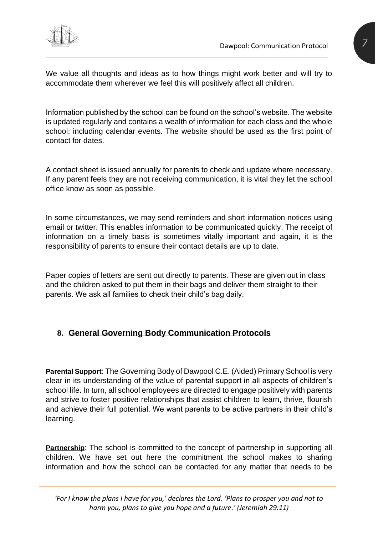

We value all thoughts and ideas as to how things might work better and will try to accommodate them wherever we feel this will positively affect all children.

Information published by the school can be found on the school's website. The website is updated regularly and contains a wealth of information for each class and the whole school; including calendar events. The website should be used as the first point of contact for dates.

A contact sheet is issued annually for parents to check and update where necessary. If any parent feels they are not receiving communication, it is vital they let the school office know as soon as possible.

In some circumstances, we may send reminders and short information notices using email or twitter. This enables information to be communicated quickly. The receipt of information on a timely basis is sometimes vitally important and again, it is the responsibility of parents to ensure their contact details are up to date.

Paper copies of letters are sent out directly to parents. These are given out in class and the children asked to put them in their bags and deliver them straight to their parents. We ask all families to check their child's bag daily.

# <span id="page-6-0"></span>**8. General Governing Body Communication Protocols**

<span id="page-6-1"></span>**Parental Support**: The Governing Body of Dawpool C.E. (Aided) Primary School is very clear in its understanding of the value of parental support in all aspects of children's school life. In turn, all school employees are directed to engage positively with parents and strive to foster positive relationships that assist children to learn, thrive, flourish and achieve their full potential. We want parents to be active partners in their child's learning.

<span id="page-6-2"></span>**Partnership:** The school is committed to the concept of partnership in supporting all children. We have set out here the commitment the school makes to sharing information and how the school can be contacted for any matter that needs to be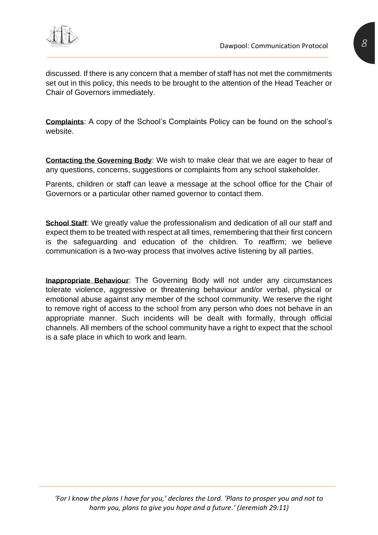

discussed. If there is any concern that a member of staff has not met the commitments set out in this policy, this needs to be brought to the attention of the Head Teacher or Chair of Governors immediately.

<span id="page-7-0"></span>**Complaints**: A copy of the School's Complaints Policy can be found on the school's website.

<span id="page-7-1"></span>**Contacting the Governing Body**: We wish to make clear that we are eager to hear of any questions, concerns, suggestions or complaints from any school stakeholder.

Parents, children or staff can leave a message at the school office for the Chair of Governors or a particular other named governor to contact them.

<span id="page-7-2"></span>**School Staff**: We greatly value the professionalism and dedication of all our staff and expect them to be treated with respect at all times, remembering that their first concern is the safeguarding and education of the children. To reaffirm; we believe communication is a two-way process that involves active listening by all parties.

<span id="page-7-3"></span>**Inappropriate Behaviour**: The Governing Body will not under any circumstances tolerate violence, aggressive or threatening behaviour and/or verbal, physical or emotional abuse against any member of the school community. We reserve the right to remove right of access to the school from any person who does not behave in an appropriate manner. Such incidents will be dealt with formally, through official channels. All members of the school community have a right to expect that the school is a safe place in which to work and learn.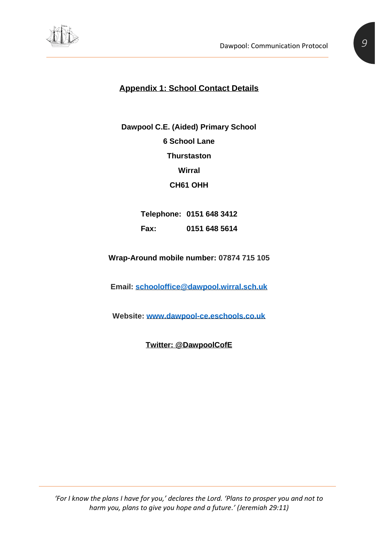<span id="page-8-0"></span>

# **Appendix 1: School Contact Details**

**Dawpool C.E. (Aided) Primary School 6 School Lane Thurstaston Wirral CH61 OHH**

> **Telephone: 0151 648 3412 Fax: 0151 648 5614**

**Wrap-Around mobile number: 07874 715 105**

**Email: [schooloffice@dawpool.wirral.sch.uk](mailto:schooloffice@dawpool.wirral.sch.uk)**

**Website: [www.dawpool-ce.eschools.co.uk](http://www.dawpool-ce.eschools.co.uk/)**

**Twitter: @DawpoolCofE**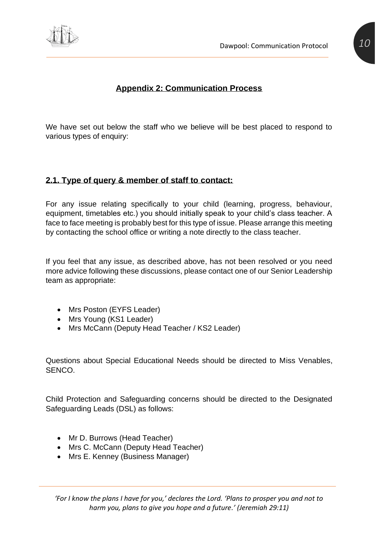



# **Appendix 2: Communication Process**

<span id="page-9-0"></span>We have set out below the staff who we believe will be best placed to respond to various types of enquiry:

#### <span id="page-9-1"></span>**2.1. Type of query & member of staff to contact:**

For any issue relating specifically to your child (learning, progress, behaviour, equipment, timetables etc.) you should initially speak to your child's class teacher. A face to face meeting is probably best for this type of issue. Please arrange this meeting by contacting the school office or writing a note directly to the class teacher.

If you feel that any issue, as described above, has not been resolved or you need more advice following these discussions, please contact one of our Senior Leadership team as appropriate:

- Mrs Poston (EYFS Leader)
- Mrs Young (KS1 Leader)
- Mrs McCann (Deputy Head Teacher / KS2 Leader)

Questions about Special Educational Needs should be directed to Miss Venables, SENCO.

Child Protection and Safeguarding concerns should be directed to the Designated Safeguarding Leads (DSL) as follows:

- Mr D. Burrows (Head Teacher)
- Mrs C. McCann (Deputy Head Teacher)
- Mrs E. Kenney (Business Manager)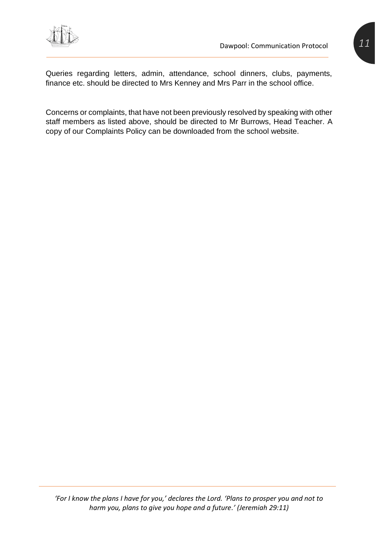

Queries regarding letters, admin, attendance, school dinners, clubs, payments, finance etc. should be directed to Mrs Kenney and Mrs Parr in the school office.

Concerns or complaints, that have not been previously resolved by speaking with other staff members as listed above, should be directed to Mr Burrows, Head Teacher. A copy of our Complaints Policy can be downloaded from the school website.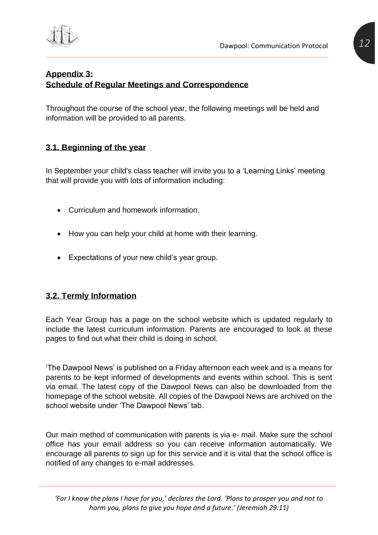

# <span id="page-11-1"></span><span id="page-11-0"></span>**Appendix 3: Schedule of Regular Meetings and Correspondence**

Throughout the course of the school year, the following meetings will be held and information will be provided to all parents.

# <span id="page-11-2"></span>**3.1. Beginning of the year**

In September your child's class teacher will invite you to a 'Learning Links' meeting that will provide you with lots of information including:

- Curriculum and homework information.
- How you can help your child at home with their learning.
- Expectations of your new child's year group.

# <span id="page-11-3"></span>**3.2. Termly Information**

Each Year Group has a page on the school website which is updated regularly to include the latest curriculum information. Parents are encouraged to look at these pages to find out what their child is doing in school.

'The Dawpool News' is published on a Friday afternoon each week and is a means for parents to be kept informed of developments and events within school. This is sent via email. The latest copy of the Dawpool News can also be downloaded from the homepage of the school website. All copies of the Dawpool News are archived on the school website under 'The Dawpool News' tab.

Our main method of communication with parents is via e- mail. Make sure the school office has your email address so you can receive information automatically. We encourage all parents to sign up for this service and it is vital that the school office is notified of any changes to e-mail addresses.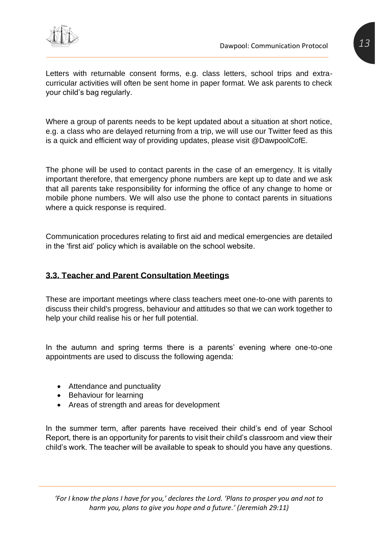

Where a group of parents needs to be kept updated about a situation at short notice, e.g. a class who are delayed returning from a trip, we will use our Twitter feed as this is a quick and efficient way of providing updates, please visit @DawpoolCofE.

The phone will be used to contact parents in the case of an emergency. It is vitally important therefore, that emergency phone numbers are kept up to date and we ask that all parents take responsibility for informing the office of any change to home or mobile phone numbers. We will also use the phone to contact parents in situations where a quick response is required.

Communication procedures relating to first aid and medical emergencies are detailed in the 'first aid' policy which is available on the school website.

# <span id="page-12-0"></span>**3.3. Teacher and Parent Consultation Meetings**

These are important meetings where class teachers meet one-to-one with parents to discuss their child's progress, behaviour and attitudes so that we can work together to help your child realise his or her full potential.

In the autumn and spring terms there is a parents' evening where one-to-one appointments are used to discuss the following agenda:

- Attendance and punctuality
- Behaviour for learning
- Areas of strength and areas for development

In the summer term, after parents have received their child's end of year School Report, there is an opportunity for parents to visit their child's classroom and view their child's work. The teacher will be available to speak to should you have any questions.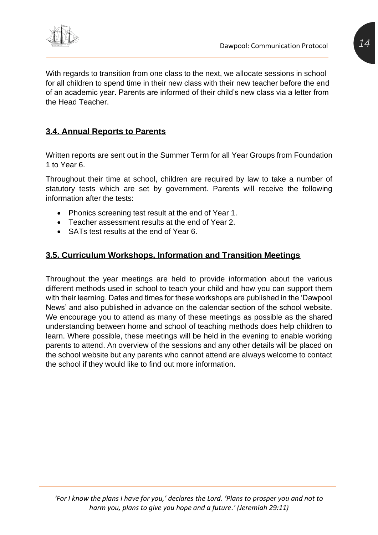

With regards to transition from one class to the next, we allocate sessions in school for all children to spend time in their new class with their new teacher before the end of an academic year. Parents are informed of their child's new class via a letter from the Head Teacher.

# <span id="page-13-0"></span>**3.4. Annual Reports to Parents**

Written reports are sent out in the Summer Term for all Year Groups from Foundation 1 to Year 6.

Throughout their time at school, children are required by law to take a number of statutory tests which are set by government. Parents will receive the following information after the tests:

- Phonics screening test result at the end of Year 1.
- Teacher assessment results at the end of Year 2.
- SATs test results at the end of Year 6.

# <span id="page-13-1"></span>**3.5. Curriculum Workshops, Information and Transition Meetings**

Throughout the year meetings are held to provide information about the various different methods used in school to teach your child and how you can support them with their learning. Dates and times for these workshops are published in the 'Dawpool News' and also published in advance on the calendar section of the school website. We encourage you to attend as many of these meetings as possible as the shared understanding between home and school of teaching methods does help children to learn. Where possible, these meetings will be held in the evening to enable working parents to attend. An overview of the sessions and any other details will be placed on the school website but any parents who cannot attend are always welcome to contact the school if they would like to find out more information.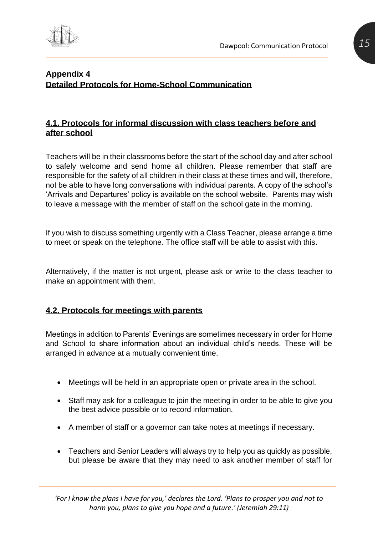

#### <span id="page-14-1"></span><span id="page-14-0"></span>**Appendix 4 Detailed Protocols for Home-School Communication**

#### <span id="page-14-2"></span>**4.1. Protocols for informal discussion with class teachers before and after school**

Teachers will be in their classrooms before the start of the school day and after school to safely welcome and send home all children. Please remember that staff are responsible for the safety of all children in their class at these times and will, therefore, not be able to have long conversations with individual parents. A copy of the school's 'Arrivals and Departures' policy is available on the school website. Parents may wish to leave a message with the member of staff on the school gate in the morning.

If you wish to discuss something urgently with a Class Teacher, please arrange a time to meet or speak on the telephone. The office staff will be able to assist with this.

Alternatively, if the matter is not urgent, please ask or write to the class teacher to make an appointment with them.

# <span id="page-14-3"></span>**4.2. Protocols for meetings with parents**

Meetings in addition to Parents' Evenings are sometimes necessary in order for Home and School to share information about an individual child's needs. These will be arranged in advance at a mutually convenient time.

- Meetings will be held in an appropriate open or private area in the school.
- Staff may ask for a colleague to join the meeting in order to be able to give you the best advice possible or to record information.
- A member of staff or a governor can take notes at meetings if necessary.
- Teachers and Senior Leaders will always try to help you as quickly as possible, but please be aware that they may need to ask another member of staff for